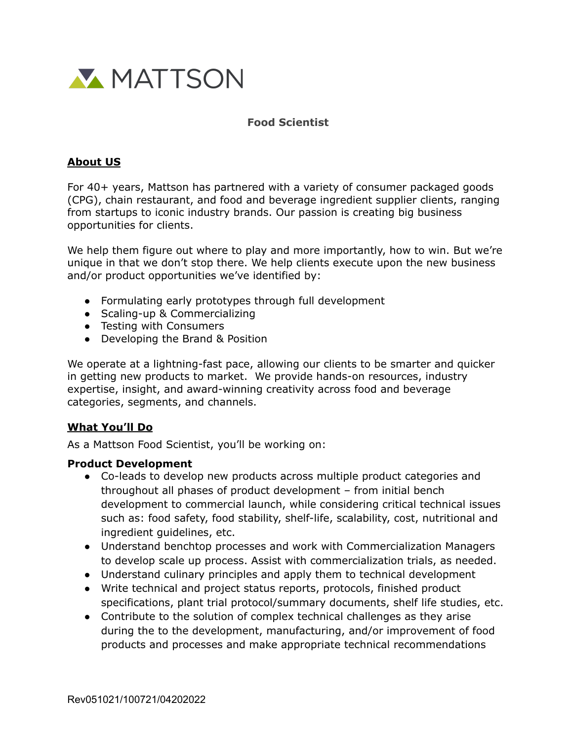

## **Food Scientist**

## **About US**

For 40+ years, Mattson has partnered with a variety of consumer packaged goods (CPG), chain restaurant, and food and beverage ingredient supplier clients, ranging from startups to iconic industry brands. Our passion is creating big business opportunities for clients.

We help them figure out where to play and more importantly, how to win. But we're unique in that we don't stop there. We help clients execute upon the new business and/or product opportunities we've identified by:

- Formulating early prototypes through full development
- Scaling-up & Commercializing
- Testing with Consumers
- Developing the Brand & Position

We operate at a lightning-fast pace, allowing our clients to be smarter and quicker in getting new products to market. We provide hands-on resources, industry expertise, insight, and award-winning creativity across food and beverage categories, segments, and channels.

### **What You'll Do**

As a Mattson Food Scientist, you'll be working on:

#### **Product Development**

- Co-leads to develop new products across multiple product categories and throughout all phases of product development – from initial bench development to commercial launch, while considering critical technical issues such as: food safety, food stability, shelf-life, scalability, cost, nutritional and ingredient guidelines, etc.
- Understand benchtop processes and work with Commercialization Managers to develop scale up process. Assist with commercialization trials, as needed.
- Understand culinary principles and apply them to technical development
- Write technical and project status reports, protocols, finished product specifications, plant trial protocol/summary documents, shelf life studies, etc.
- Contribute to the solution of complex technical challenges as they arise during the to the development, manufacturing, and/or improvement of food products and processes and make appropriate technical recommendations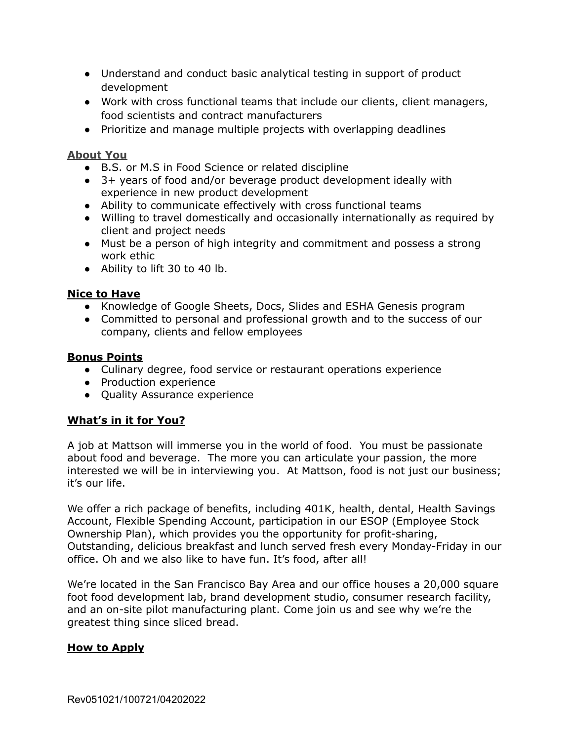- Understand and conduct basic analytical testing in support of product development
- Work with cross functional teams that include our clients, client managers, food scientists and contract manufacturers
- Prioritize and manage multiple projects with overlapping deadlines

### **About You**

- B.S. or M.S in Food Science or related discipline
- 3+ years of food and/or beverage product development ideally with experience in new product development
- Ability to communicate effectively with cross functional teams
- Willing to travel domestically and occasionally internationally as required by client and project needs
- Must be a person of high integrity and commitment and possess a strong work ethic
- Ability to lift 30 to 40 lb.

### **Nice to Have**

- Knowledge of Google Sheets, Docs, Slides and ESHA Genesis program
- Committed to personal and professional growth and to the success of our company, clients and fellow employees

### **Bonus Points**

- Culinary degree, food service or restaurant operations experience
- Production experience
- Quality Assurance experience

# **What's in it for You?**

A job at Mattson will immerse you in the world of food. You must be passionate about food and beverage. The more you can articulate your passion, the more interested we will be in interviewing you. At Mattson, food is not just our business; it's our life.

We offer a rich package of benefits, including 401K, health, dental, Health Savings Account, Flexible Spending Account, participation in our ESOP (Employee Stock Ownership Plan), which provides you the opportunity for profit-sharing, Outstanding, delicious breakfast and lunch served fresh every Monday-Friday in our office. Oh and we also like to have fun. It's food, after all!

We're located in the San Francisco Bay Area and our office houses a 20,000 square foot food development lab, brand development studio, consumer research facility, and an on-site pilot manufacturing plant. Come join us and see why we're the greatest thing since sliced bread.

# **How to Apply**